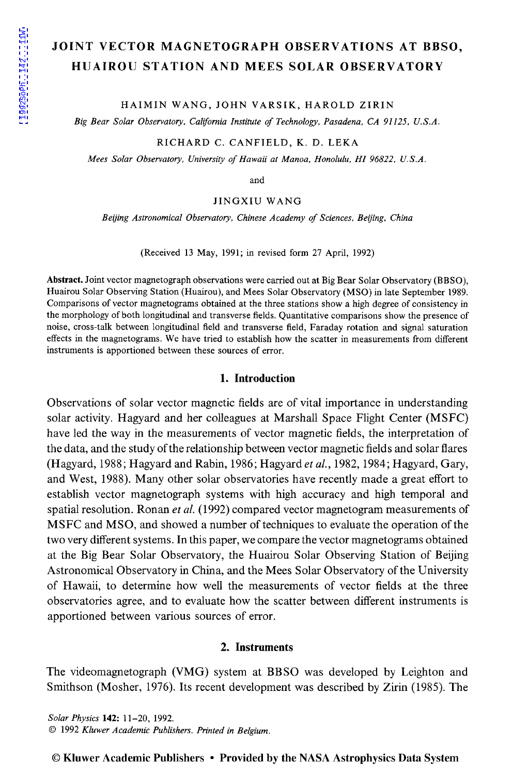# JOINT VECTOR MAGNETOGRAPH OBSERVATIONS AT BBSO, HUAIROU STATION AND MEES SOLAR OBSERVATORY

HAIMIN WANG, JOHN VARSIK, HAROLD ZIRIN

*Big Bear Solar Observatory, California Institute of Technology, Pasadena, CA 91125, U.S.A.* 

RICHARD C. CANFIELD, K. D. LEKA

*Mees Solar Observatory, University of Hawaii at Manoa, Honolulu, HI 96822, U.S.A.* 

and

#### JINGXIU WANG

*Beijing Astronomical Observatory, Chinese Academy of Sciences, Beijing, China* 

(Received 13 May, 1991; in revised form 27 April, 1992)

Abstract. Joint vector magnetograph observations were carried out at Big Bear Solar Observatory (BBSO), Huairou Solar Observing Station (Huairou), and Mees Solar Observatory (MSO) in late September 1989. Comparisons of vector magnetograms obtained at the three stations show a high degree of consistency in the morphology of both longitudinal and transverse fields. Quantitative comparisons show the presence of noise, cross-talk between longitudinal field and transverse field, Faraday rotation and signal saturation effects in the magnetograms. We have tried to establish how the scatter in measurements from different instruments is apportioned between these sources of error.

## 1. Introduction

Observations of solar vector magnetic fields are of vital importance in understanding solar activity. Hagyard and her colleagues at Marshall Space Flight Center (MSFC) have led the way in the measurements of vector magnetic fields, the interpretation of the data, and the study of the relationship between vector magnetic fields and solar flares (Hagyard, 1988; Hagyard and Rabin, 1986; Hagyard *et al.,* 1982, 1984; Hagyard, Gary, and West, 1988). Many other solar observatories have recently made a great effort to establish vector magnetograph systems with high accuracy and high temporal and spatial resolution. Ronan *et al.* (1992) compared vector magnetogram measurements of MSFC and MSO, and showed a number of techniques to evaluate the operation of the two very different systems. In this paper, we compare the vector magnetograms obtained at the Big Bear Solar Observatory, the Huairou Solar Observing Station of Beijing Astronomical Observatory in China, and the Mees Solar Observatory of the University of Hawaii, to determine how well the measurements of vector fields at the three observatories agree, and to evaluate how the scatter between different instruments is apportioned between various sources of error.

## 2. Instruments

The videomagnetograph (VMG) system at BBSO was developed by Leighton and Smithson (Mosher, 1976). Its recent development was described by Zirin (1985). The

*Solar Physics* 142: 11-20, 1992. © 1992 *Kluwer Academic Publishers. Printed in Belgium.*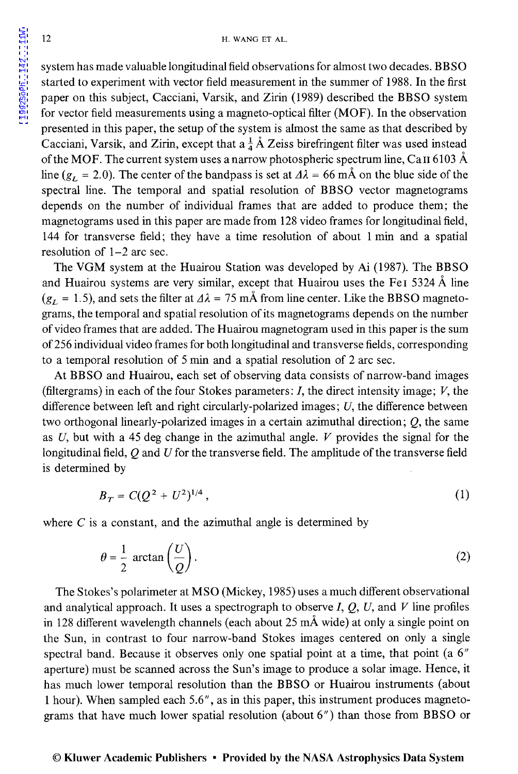system has made valuable longitudinal field observations for almost two decades. BB SO started to experiment with vector field measurement in the summer of 1988. In the first paper on this subject, Cacciani, Varsik, and Zirin (1989) described the BBSO system for vector field measurements using a magneto-optical filter (MOF). In the observation presented in this paper, the setup of the system is almost the same as that described by Cacciani, Varsik, and Zirin, except that  $a \frac{1}{4}$  Å Zeiss birefringent filter was used instead of the MOF. The current system uses a narrow photospheric spectrum line, Ca<sub>II</sub> 6103 Å line ( $g_L$  = 2.0). The center of the bandpass is set at  $\Delta \overline{\lambda} = 66$  mÅ on the blue side of the spectral line. The temporal and spatial resolution of BBSO vector magnetograms depends on the number of individual frames that are added to produce them; the magnetograms used in this paper are made from 128 video frames for longitudinal field, 144 for transverse field; they have a time resolution of about 1 min and a spatial resolution of 1-2 arc sec.

The VGM system at the Huairou Station was developed by Ai (1987). The BBSO and Huairou systems are very similar, except that Huairou uses the Fe1 5324 A line  $(g_L = 1.5)$ , and sets the filter at  $\Delta \lambda = 75$  mÅ from line center. Like the BBSO magnetograms, the temporal and spatial resolution of its magnetograms depends on the number of video frames that are added. The Huairou magnetogram used in this paper is the sum of 256 individual video frames for both longitudinal and transverse fields, corresponding to a temporal resolution of 5 min and a spatial resolution of 2 arc sec.

At BB SO and Huairou, each set of observing data consists of narrow-band images (filtergrams) in each of the four Stokes parameters:  $I$ , the direct intensity image;  $V$ , the difference between left and right circularly-polarized images;  $U$ , the difference between two orthogonal linearly-polarized images in a certain azimuthal direction; Q, the same as U, but with a 45 deg change in the azimuthal angle. V provides the signal for the longitudinal field,  $Q$  and  $U$  for the transverse field. The amplitude of the transverse field is determined by

$$
B_T = C(Q^2 + U^2)^{1/4},\tag{1}
$$

where *C* is a constant, and the azimuthal angle is determined by

$$
\theta = \frac{1}{2} \arctan\left(\frac{U}{Q}\right). \tag{2}
$$

The Stokes's polarimeter at MSO (Mickey, 1985) uses a much different observational and analytical approach. It uses a spectrograph to observe  $I, Q, U$ , and  $V$  line profiles in 128 different wavelength channels (each about  $25 \text{ mA}$  wide) at only a single point on the Sun, in contrast to four narrow-band Stokes images centered on only a single spectral band. Because it observes only one spatial point at a time, that point (a 6" aperture) must be scanned across the Sun's image to produce a solar image. Hence, it has much lower temporal resolution than the BBSO or Huairou instruments (about 1 hour). When sampled each 5.6", as in this paper, this instrument produces magnetograms that have much lower spatial resolution (about 6") than those from BBSO or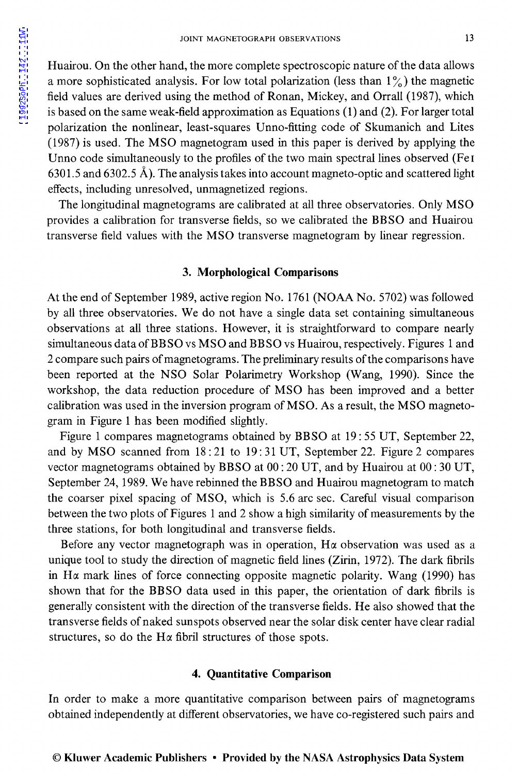Huairou. On the other hand, the more complete spectroscopic nature of the data allows a more sophisticated analysis. For low total polarization (less than  $1\%$ ) the magnetic field values are derived using the method of Ronan, Mickey, and Orrall (1987), which is based on the same weak-field approximation as Equations (1) and (2). For larger total polarization the nonlinear, least-squares Unno-fitting code of Skumanich and Lites (1987) is used. The MSO magnetogram used in this paper is derived by applying the Unno code simultaneously to the profiles of the two main spectral lines observed (Fe I 6301.5 and 6302.5 Å). The analysis takes into account magneto-optic and scattered light effects, including unresolved, unmagnetized regions.

The longitudinal magnetograms are calibrated at all three observatories. Only MSO provides a calibration for transverse fields, so we calibrated the BBSO and Huairou transverse field values with the MSO transverse magnetogram by linear regression.

## 3. Morphological Comparisons

At the end of September 1989, active region No. 1761 (NOAA No. 5702) was followed by all three observatories. We do not have a single data set containing simultaneous observations at all three stations. However, it is straightforward to compare nearly simultaneous data of BB SO vs MSO and BBSO vs Huairou, respectively. Figures 1 and 2 compare such pairs of magnetograms. The preliminary results of the comparisons have been reported at the NSO Solar Polarimetry Workshop (Wang, 1990). Since the workshop, the data reduction procedure of MSO has been improved and a better calibration was used in the inversion program of MSO. As a result, the MSO magnetogram in Figure 1 has been modified slightly.

Figure 1 compares magnetograms obtained by BBSO at 19: 55 UT, September 22, and by MSO scanned from 18: 21 to 19: 31 UT, September 22. Figure 2 compares vector magnetograms obtained by BBSO at 00: 20 UT, and by Huairou at 00: 30 UT, September 24, 1989. We have rebinned the BBSO and Huairou magnetogram to match the coarser pixel spacing of MSO, which is 5.6 arc sec. Careful visual comparison between the two plots of Figures 1 and 2 show a high similarity of measurements by the three stations, for both longitudinal and transverse fields.

Before any vector magnetograph was in operation,  $H\alpha$  observation was used as a unique tool to study the direction of magnetic field lines (Zirin, 1972). The dark fibrils in H $\alpha$  mark lines of force connecting opposite magnetic polarity. Wang (1990) has shown that for the BBSO data used in this paper, the orientation of dark fibrils is generally consistent with the direction of the transverse fields. He also showed that the transverse fields of naked sunspots observed near the solar disk center have clear radial structures, so do the  $H\alpha$  fibril structures of those spots.

## 4. Quantitative Comparison

In order to make a more quantitative comparison between pairs of magnetograms obtained independently at different observatories, we have co-registered such pairs and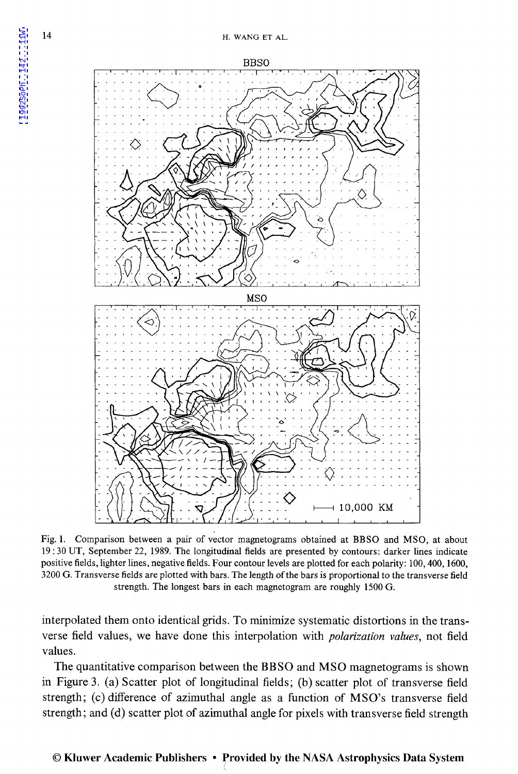14



Fig. 1. Comparison between a pair of vector magnetograms obtained at BBSO and MSO, at about 19: 30 UT, September 22, 1989. The longitudinal fields are presented by contours: darker lines indicate positive fields, lighter lines, negative fields. Four contour levels are plotted for each polarity: 100, 400, 1600, 3200 G. Transverse fields are plotted with bars. The length of the bars is proportional to the transverse field strength. The longest bars in each magnetogram are roughly 1500 G.

interpolated them onto identical grids. To minimize systematic distortions in the transverse field values, we have done this interpolation with *polarization values,* not field values.

The quantitative comparison between the BBSO and MSO magnetograms is shown in Figure 3. (a) Scatter plot of longitudinal fields; (b) scatter plot of transverse field strength; (c) difference of azimuthal angle as a function of MSO's transverse field strength; and (d) scatter plot of azimuthal angle for pixels with transverse field strength

#### © Kluwer Academic Publishers • Provided by the NASA Astrophysics Data System

 $\zeta$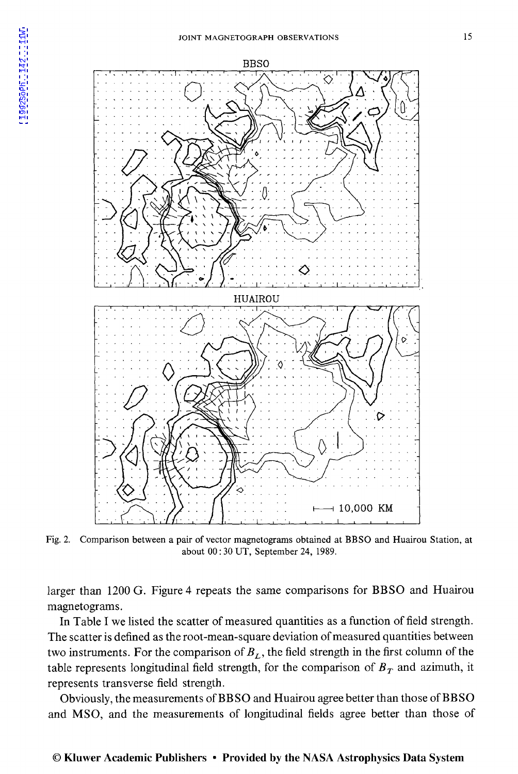

Fig. 2. Comparison between a pair of vector magnetograms obtained at BB SO and Huairou Station, at about 00: 30 UT, September 24, 1989.

larger than 1200 G. Figure 4 repeats the same comparisons for BBSO and Huairou magnetograms.

In Table I we listed the scatter of measured quantities as a function of field strength. The scatter is defined as the root-mean-square deviation of measured quantities between two instruments. For the comparison of  $B_L$ , the field strength in the first column of the table represents longitudinal field strength, for the comparison of  $B<sub>T</sub>$  and azimuth, it represents transverse field strength.

Obviously, the measurements of BBSO and Huairou agree better than those of BBSO and MSO, and the measurements of longitudinal fields agree better than those of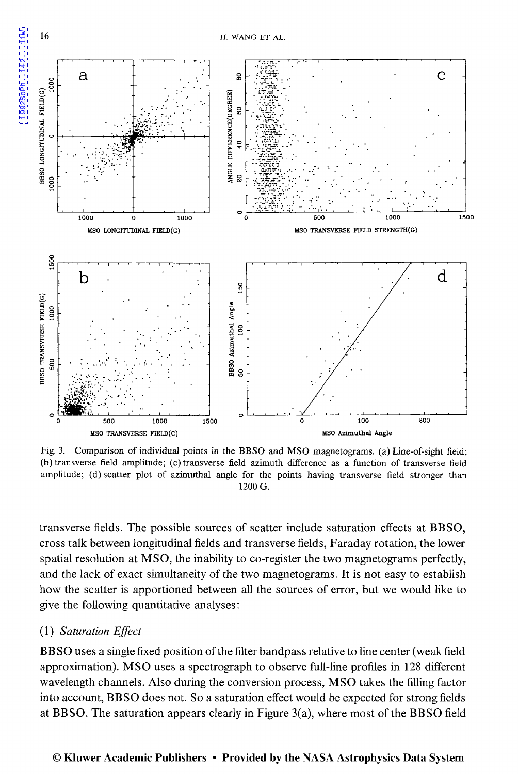

Fig. 3. Comparison of individual points in the BBSO and MSO magnetograms. (a) Line-of-sight field; (b) transverse field amplitude; (c) transverse field azimuth difference as a function of transverse field amplitude; (d) scatter plot of azimuthal angle for the points having transverse field stronger than 1200 G.

transverse fields. The possible sources of scatter include saturation effects at BBSO, cross talk between longitudinal fields and transverse fields, Faraday rotation, the lower spatial resolution at MSO, the inability to co-register the two magnetograms perfectly, and the lack of exact simultaneity of the two magnetograms. It is not easy to establish how the scatter is apportioned between all the sources of error, but we would like to give the following quantitative analyses:

## ( 1) *Saturation Effect*

BB SO uses a single fixed position of the filter bandpass relative to line center (weak field approximation). MSO uses a spectrograph to observe full-line profiles in 128 different wavelength channels. Also during the conversion process, MSO takes the filling factor into account, BBSO does not. So a saturation effect would be expected for strong fields at BBSO. The saturation appears clearly in Figure 3(a), where most of the BBSO field

#### © Kluwer Academic Publishers • Provided by the NASA Astrophysics Data System

16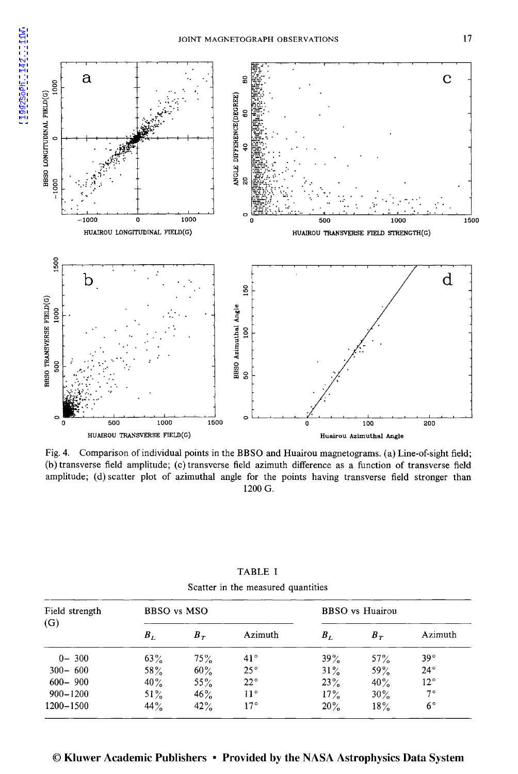

Fig. 4. Comparison of individual points in the BBSO and Huairou magnetograms. (a) Line-of-sight field; (b) transverse field amplitude; (c) transverse field azimuth difference as a function of transverse field amplitude; (d) scatter plot of azimuthal angle for the points having transverse field stronger than 1200 G.

| <b>TABLE I</b> |  |  |  |                                    |  |  |  |  |
|----------------|--|--|--|------------------------------------|--|--|--|--|
|                |  |  |  | Scatter in the measured quantities |  |  |  |  |

| Field strength<br>(G) | BBSO vs MSO |        |              | <b>BBSO</b> vs Huairou |        |              |
|-----------------------|-------------|--------|--------------|------------------------|--------|--------------|
|                       | $B_L$       | $B_T$  | Azimuth      | $B_L$                  | $B_T$  | Azimuth      |
| $0 - 300$             | $63\%$      | 75%    | $41^{\circ}$ | 39%                    | $57\%$ | $39^\circ$   |
| $300 - 600$           | 58%         | $60\%$ | $25^{\circ}$ | $31\%$                 | 59%    | $24^{\circ}$ |
| $600 - 900$           | 40%         | 55%    | $22^{\circ}$ | 23%                    | 40%    | $12^{\circ}$ |
| $900 - 1200$          | $51\%$      | 46%    | $11^{\circ}$ | 17%                    | $30\%$ | $7^{\circ}$  |
| 1200-1500             | 44%         | 42%    | $17^{\circ}$ | 20%                    | 18%    | $6^{\circ}$  |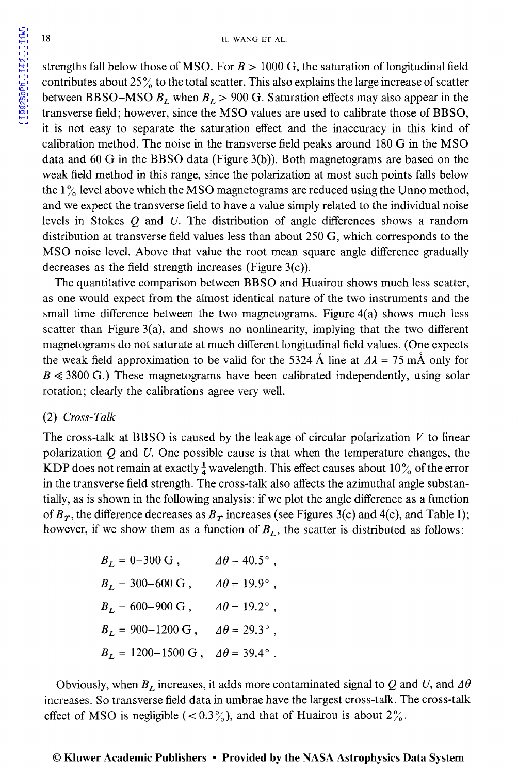strengths fall below those of MSO. For  $B > 1000$  G, the saturation of longitudinal field contributes about 25 % to the total scatter. This also explains the large increase of scatter between BBSO-MSO  $B_L$  when  $B_L > 900$  G. Saturation effects may also appear in the transverse field; however, since the MSO values are used to calibrate those of BBSO, it is not easy to separate the saturation effect and the inaccuracy in this kind of calibration method. The noise in the transverse field peaks around  $180 \text{ G}$  in the MSO data and 60 Gin the BBSO data (Figure 3(b)). Both magnetograms are based on the weak field method in this range, since the polarization at most such points falls below the  $1\%$  level above which the MSO magnetograms are reduced using the Unno method, and we expect the transverse field to have a value simply related to the individual noise levels in Stokes Q and U. The distribution of angle differences shows a random distribution at transverse field values less than about 250 G, which corresponds to the MSO noise level. Above that value the root mean square angle difference gradually decreases as the field strength increases (Figure 3(c)).

The quantitative comparison between BBSO and Huairou shows much less scatter, as one would expect from the almost identical nature of the two instruments and the small time difference between the two magnetograms. Figure  $4(a)$  shows much less scatter than Figure 3(a), and shows no nonlinearity, implying that the two different magnetograms do not saturate at much different longitudinal field values. (One expects the weak field approximation to be valid for the 5324 Å line at  $\Delta \lambda = 75$  mÅ only for  $B \ll 3800$  G.) These magnetograms have been calibrated independently, using solar rotation; clearly the calibrations agree very well.

# (2) *Cross-Talk*

The cross-talk at BBSO is caused by the leakage of circular polarization *V* to linear polarization  $Q$  and  $U$ . One possible cause is that when the temperature changes, the KDP does not remain at exactly  $\frac{1}{4}$  wavelength. This effect causes about 10% of the error in the transverse field strength. The cross-talk also affects the azimuthal angle substantially, as is shown in the following analysis: if we plot the angle difference as a function of  $B_T$ , the difference decreases as  $B_T$  increases (see Figures 3(c) and 4(c), and Table I); however, if we show them as a function of  $B_L$ , the scatter is distributed as follows:

| $B_L = 0-300 \; \rm G$ ,       | $\Delta\theta = 40.5^{\circ}$ , |
|--------------------------------|---------------------------------|
| $B_L = 300 - 600 \text{ G},$   | $\Delta\theta = 19.9^{\circ}$ , |
| $B_L = 600 - 900$ G,           | $\Delta\theta = 19.2^{\circ}$ , |
| $B_L = 900 - 1200 \text{ G},$  | $\Delta\theta = 29.3^{\circ}$ , |
| $B_L = 1200 - 1500 \text{ G},$ | $\varDelta\theta=$ 39.4° .      |

Obviously, when  $B_L$  increases, it adds more contaminated signal to Q and U, and  $\Delta\theta$ increases. So transverse field data in umbrae have the largest cross-talk. The cross-talk effect of MSO is negligible ( $< 0.3\%$ ), and that of Huairou is about  $2\%$ .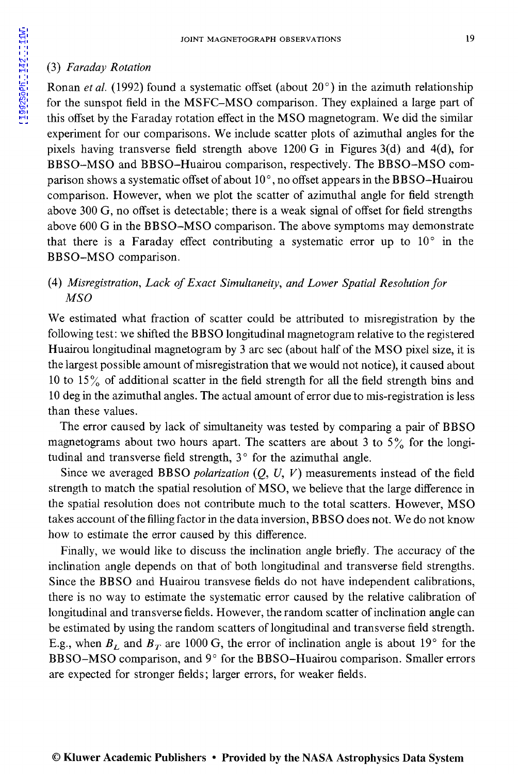## (3) *Faraday Rotation*

Ronan *et al.* (1992) found a systematic offset (about 20<sup>o</sup>) in the azimuth relationship for the sunspot field in the MSFC-MSO comparison. They explained a large part of this offset by the Faraday rotation effect in the MSO magnetogram. We did the similar experiment for our comparisons. We include scatter plots of azimuthal angles for the pixels having transverse field strength above 1200 G in Figures 3(d) and 4(d), for BBSO-MSO and BBSO-Huairou comparison, respectively. The BBSO-MSO comparison shows a systematic offset of about  $10^{\circ}$ , no offset appears in the BBSO-Huairou comparison. However, when we plot the scatter of azimuthal angle for field strength above 300 G, no offset is detectable; there is a weak signal of offset for field strengths above 600 Gin the BBSO-MSO comparison. The above symptoms may demonstrate that there is a Faraday effect contributing a systematic error up to  $10^{\circ}$  in the BBSO-MSO comparison.

# ( 4) *Misregistration, Lack of Exact Simultaneity, and Lower Spatial Resolution for MSO*

We estimated what fraction of scatter could be attributed to misregistration by the following test: we shifted the BB SO longitudinal magnetogram relative to the registered Huairou longitudinal magnetogram by 3 arc sec (about half of the MSO pixel size, it is the largest possible amount of misregistration that we would not notice), it caused about 10 to 15 $\%$  of additional scatter in the field strength for all the field strength bins and 10 deg in the azimuthal angles. The actual amount of error due to mis-registration is less than these values.

The error caused by lack of simultaneity was tested by comparing a pair of BBSO magnetograms about two hours apart. The scatters are about 3 to  $5\%$  for the longitudinal and transverse field strength,  $3^\circ$  for the azimuthal angle.

Since we averaged BBSO *polarization*  $(Q, U, V)$  measurements instead of the field strength to match the spatial resolution of MSO, we believe that the large difference in the spatial resolution does not contribute much to the total scatters. However, MSO takes account of the filling factor in the data inversion, BBSO does not. We do not know how to estimate the error caused by this difference.

Finally, we would like to discuss the inclination angle briefly. The accuracy of the inclination angle depends on that of both longitudinal and transverse field strengths. Since the BBSO and Huairou transvese fields do not have independent calibrations, there is no way to estimate the systematic error caused by the relative calibration of longitudinal and transverse fields. However, the random scatter of inclination angle can be estimated by using the random scatters of longitudinal and transverse field strength. E.g., when  $B_L$  and  $B_T$  are 1000 G, the error of inclination angle is about 19° for the BBSO-MSO comparison, and 9° for the BBSO-Huairou comparison. Smaller errors are expected for stronger fields; larger errors, for weaker fields.